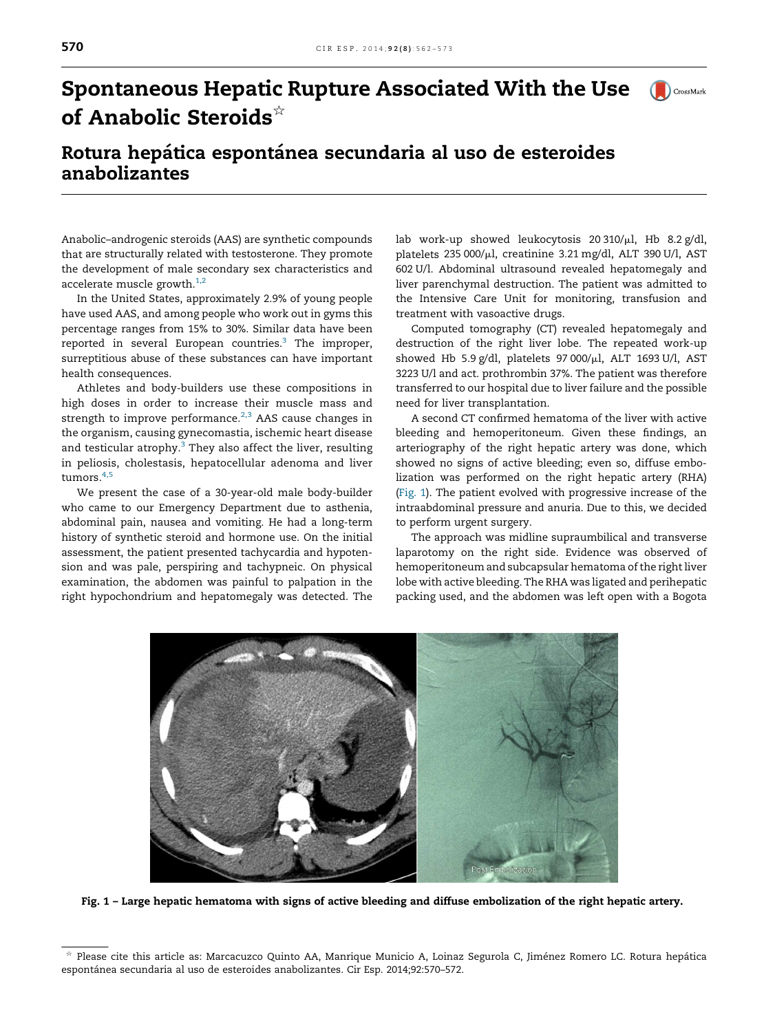

## S[pontaneous](http://refhub.elsevier.com/S2173-5077(14)00346-9/sbref0010) Hepatic Rupture As[sociated](http://refhub.elsevier.com/S2173-5077(14)00346-9/sbref0040) With the Use of [Anabolic](http://refhub.elsevier.com/S2173-5077(14)00346-9/sbref0015) Steroids $\hat{S}$

## R[otura](http://refhub.elsevier.com/S2173-5077(14)00346-9/sbref0015) hepática espontánea secundaria al uso de esteroides a[nabolizantes](http://refhub.elsevier.com/S2173-5077(14)00346-9/sbref0020)

An[abolic–androgenic](http://refhub.elsevier.com/S2173-5077(14)00346-9/sbref0025) steroids (AAS) are synthetic compounds that are [structurally](http://refhub.elsevier.com/S2173-5077(14)00346-9/sbref0025) related with testosterone. They promote the development of male secondary sex [characteristics](http://refhub.elsevier.com/S2173-5077(14)00346-9/sbref0030) and accelerate muscle [growth.](http://refhub.elsevier.com/S2173-5077(14)00346-9/sbref0030) $1,2$ 

In the United States, [approximately](http://refhub.elsevier.com/S2173-5077(14)00346-9/sbref0030) 2.9% of young people have used [AAS,](http://refhub.elsevier.com/S2173-5077(14)00346-9/sbref0030) and among people who work out in gyms this per[centage](http://refhub.elsevier.com/S2173-5077(14)00346-9/sbref0035) ranges from 15% to 30%. Similar data have been reported in several European [countries.](http://refhub.elsevier.com/S2173-5077(14)00346-9/sbref0035)<sup>[3](#page-1-0)</sup> The improper, surreptitious abuse of these substances can have important health consequences.

Athletes and body-builders use these compositions in high doses in order to increase their muscle mass and strength to improve performance.<sup>[2,3](#page-1-0)</sup> AAS cause changes in the organism, causing gynecomastia, ischemic heart disease and testicular atrophy. $^3$  $^3$  They also affect the liver, resulting in peliosis, cholestasis, hepatocellular adenoma and liver tumors.<sup>[4,5](#page-1-0)</sup>

We present the case of a 30-year-old male body-builder who came to our Emergency Department due to asthenia, abdominal pain, nausea and vomiting. He had a long-term history of synthetic steroid and hormone use. On the initial assessment, the patient presented tachycardia and hypotension and was pale, perspiring and tachypneic. On physical examination, the abdomen was painful to palpation in the right hypochondrium and hepatomegaly was detected. The lab work-up showed [leukocytosis](http://refhub.elsevier.com/S2173-5077(14)00355-X/sbref0010)  $20\frac{310}{\mu}$ , Hb 8.2 g/dl, platelets  $235\,000/\mu$  $235\,000/\mu$  $235\,000/\mu$ l, [creatinine](http://refhub.elsevier.com/S2173-5077(14)00355-X/sbref0010) 3.21 mg/dl, ALT 390 U/l, [AST](http://crossmark.crossref.org/dialog/?doi=10.1016/j.cireng.2012.11.004&domain=pdf) 602 U/l. Abdominal ultrasound revealed [hepatomegaly](http://refhub.elsevier.com/S2173-5077(14)00353-6/sbref0010) and liver [parenchymal](http://refhub.elsevier.com/S2173-5077(14)00353-6/sbref0010) [destruction.](mailto:rebecasaeta@hotmail.com) The patient was admitted to the Intensive Care Unit for [monitoring,](http://refhub.elsevier.com/S2173-5077(14)00353-6/sbref0015) transfusion and tre[atment](http://refhub.elsevier.com/S2173-5077(14)00355-X/sbref0015) with [vasoactive](http://refhub.elsevier.com/S2173-5077(14)00353-6/sbref0015) drugs.

Computed [tomography](http://refhub.elsevier.com/S2173-5077(14)00353-6/sbref0015) (CT) revealed [hepatomegaly](http://refhub.elsevier.com/S2173-5077(14)00355-X/sbref0020) and destruction of the right liver lobe. The [repeated](http://refhub.elsevier.com/S2173-5077(14)00355-X/sbref0020) work-up showed Hb 5.9 g/dl, [platelets](http://refhub.elsevier.com/S2173-5077(14)00355-X/sbref0020) 97 000/ $\mu$ l, ALT 1693 U/l, AST 3223 U/l and act. [proth](http://refhub.elsevier.com/S2173-5077(14)00353-6/sbref0020)[rombin](http://refhub.elsevier.com/S2173-5077(14)00355-X/sbref0020) 37%. The patient was therefore transferred to our [hospital](http://refhub.elsevier.com/S2173-5077(14)00353-6/sbref0025) due to liver failure and the [possible](http://crossmark.crossref.org/dialog/?doi=10.1016/j.cireng.2012.11.004&domain=pdf) need for liver [transplantation.](http://refhub.elsevier.com/S2173-5077(14)00353-6/sbref0025)

A [second](http://refhub.elsevier.com/S2173-5077(14)00355-X/sbref0025) CT confirmed [hematoma](http://refhub.elsevier.com/S2173-5077(14)00353-6/sbref0025) of the liver with active bleeding and [hemoperitoneum.](http://refhub.elsevier.com/S2173-5077(14)00355-X/sbref0030) Given these findings, an art[eriography](http://refhub.elsevier.com/S2173-5077(14)00355-X/sbref0030) of the right hepatic artery was done, which showed no signs of active [bleeding;](http://refhub.elsevier.com/S2173-5077(14)00353-6/sbref0030) even so, diffuse [embo](http://crossmark.crossref.org/dialog/?doi=10.1016/j.cireng.2012.11.004&domain=pdf)lization was [performed](http://refhub.elsevier.com/S2173-5077(14)00353-6/sbref0035) on the right hepatic artery (RHA) (Fig. 1). The patient evolved with [progressive](http://refhub.elsevier.com/S2173-5077(14)00353-6/sbref0035) increase of the int[ra](http://refhub.elsevier.com/S2173-5077(14)00355-X/sbref0035)[abdominal](http://refhub.elsevier.com/S2173-5077(14)00353-6/sbref0035) pressure and anuria. Due to this, we decided to p[erform](http://refhub.elsevier.com/S2173-5077(14)00353-6/sbref0035) urgent [surgery.](http://refhub.elsevier.com/S2173-5077(14)00355-X/sbref0040)

The approach was midline [supraumbilical](http://refhub.elsevier.com/S2173-5077(14)00355-X/sbref0040) and transverse lapa[rotomy](http://refhub.elsevier.com/S2173-5077(14)00353-6/sbref0040) on the right side. [Evidence](http://refhub.elsevier.com/S2173-5077(14)00355-X/sbref0040) was observed of he[m](http://refhub.elsevier.com/S2173-5077(14)00355-X/sbref0045)[operitoneum](http://refhub.elsevier.com/S2173-5077(14)00353-6/sbref0045) and subcapsular hematoma of the right liver lobe with active bleeding. The RHA was ligated and [perihepat](http://refhub.elsevier.com/S2173-5077(14)00353-6/sbref0045)[i](http://refhub.elsevier.com/S2173-5077(14)00355-X/sbref0045)c packing used, and the [abdomen](http://refhub.elsevier.com/S2173-5077(14)00353-6/sbref0045) was left open with a Bogota



Fig. 1 – Large hepatic hematoma with signs of active bleeding and diffuse [embolization](http://refhub.elsevier.com/S2173-5077(14)00346-9/sbref0010) of the right hepatic artery.

<sup>§</sup> Please cite this article as: Marcacuzco Quinto AA, Manrique Municio A, Loinaz [Segurola](http://refhub.elsevier.com/S2173-5077(14)00354-8/sbref0030) C, Jiménez Romero LC. Rotura hepática espontánea secundaria al uso de esteroides anabolizantes. Cir Esp. 2014;92:570-572.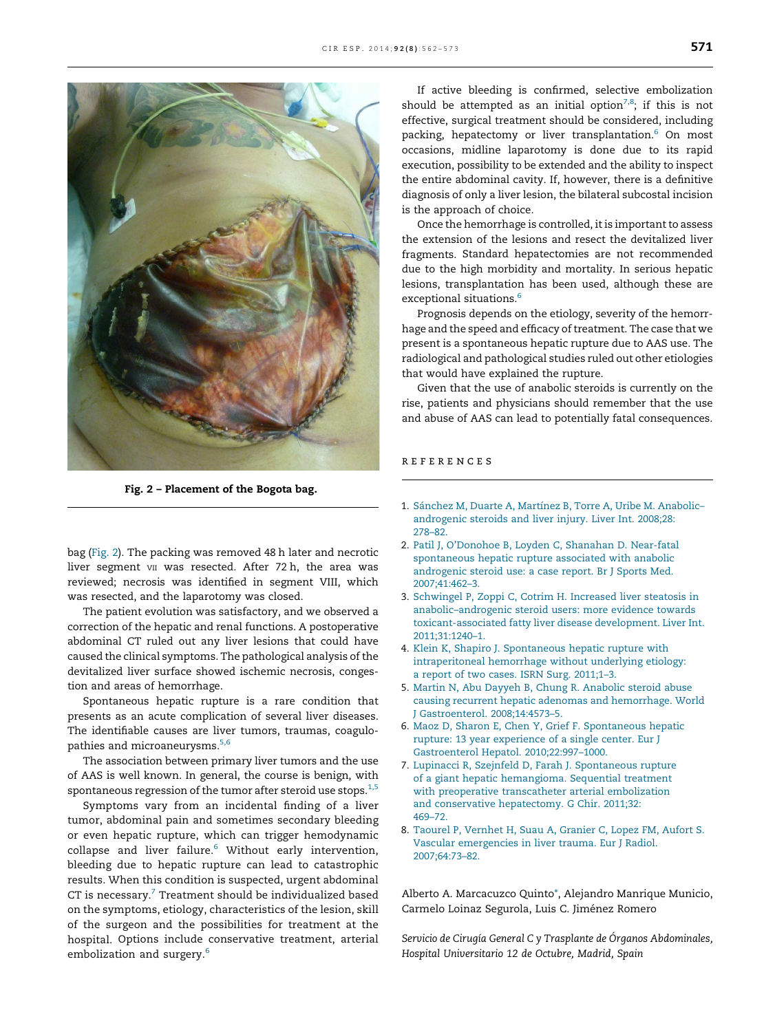<span id="page-1-0"></span>

Fig. 2 – Placement of the Bogota bag.

bag (Fig. 2). The packing was removed 48 h later and necrotic liver segment vII was resected. After 72 h, the area was reviewed; necrosis was identified in segment VIII, which was resected, and the laparotomy was closed.

The patient evolution was satisfactory, and we observed a correction of the hepatic and renal functions. A postoperative abdominal CT ruled out any liver lesions that could have caused the clinical symptoms. The pathological analysis of the devitalized liver surface showed ischemic necrosis, congestion and areas of hemorrhage.

Spontaneous hepatic rupture is a rare condition that presents as an acute complication of several liver diseases. The identifiable causes are liver tumors, traumas, coagulopathies and microaneurysms.<sup>5,6</sup>

The association between primary liver tumors and the use of AAS is well known. In general, the course is benign, with spontaneous regression of the tumor after steroid use stops. $1,5$ 

Symptoms vary from an incidental finding of a liver tumor, abdominal pain and sometimes secondary bleeding or even hepatic rupture, which can trigger hemodynamic collapse and liver failure. $6$  Without early intervention, bleeding due to hepatic rupture can lead to catastrophic results. When this condition is suspected, urgent abdominal CT is necessary. $7$  Treatment should be individualized based on the symptoms, etiology, characteristics of the lesion, skill of the surgeon and the possibilities for treatment at the hospital. Options include conservative treatment, arterial embolization and surgery.<sup>6</sup>

If active bleeding is confirmed, selective embolization should be attempted as an initial option<sup>7,8</sup>; if this is not effective, surgical treatment should be considered, including packing, hepatectomy or liver transplantation.<sup>6</sup> On most occasions, midline laparotomy is done due to its rapid execution, possibility to be extended and the ability to inspect the entire abdominal cavity. If, however, there is a definitive diagnosis of only a liver lesion, the bilateral subcostal incision is the approach of choice.

Once the hemorrhage is controlled, it is important to assess the extension of the lesions and resect the devitalized liver fragments. Standard hepatectomies are not recommended due to the high morbidity and mortality. In serious hepatic lesions, transplantation has been used, although these are exceptional situations.<sup>6</sup>

Prognosis depends on the etiology, severity of the hemorrhage and the speed and efficacy of treatment. The case that we present is a spontaneous hepatic rupture due to AAS use. The radiological and pathological studies ruled out other etiologies that would have explained the rupture.

Given that the use of anabolic steroids is currently on the rise, patients and physicians should remember that the use and abuse of AAS can lead to potentially fatal consequences.

## r e f e r e n c e s

- 1. Sánchez M, Duarte A, Martínez B, Torre A, Uribe M. Anabolic[androgenic](http://refhub.elsevier.com/S2173-5077(14)00344-5/sbref0005) steroids and liver injury. Liver Int. 2008;28: [278–82](http://refhub.elsevier.com/S2173-5077(14)00344-5/sbref0005).
- 2. Patil J, [O'Donohoe](http://refhub.elsevier.com/S2173-5077(14)00344-5/sbref0010) B, Loyden C, Shanahan D. Near-fatal [spontaneous](http://refhub.elsevier.com/S2173-5077(14)00344-5/sbref0010) hepatic rupture associated with anabolic [androgenic](http://refhub.elsevier.com/S2173-5077(14)00344-5/sbref0010) steroid use: a case report. Br J Sports Med. [2007;41:462–3](http://refhub.elsevier.com/S2173-5077(14)00344-5/sbref0010).
- 3. [Schwingel](http://refhub.elsevier.com/S2173-5077(14)00344-5/sbref0015) P, Zoppi C, Cotrim H. Increased liver steatosis in [anabolic–androgenic](http://refhub.elsevier.com/S2173-5077(14)00344-5/sbref0015) steroid users: more evidence towards [toxicant-associated](http://refhub.elsevier.com/S2173-5077(14)00344-5/sbref0015) fatty liver disease development. Liver Int. [2011;31:1240–1](http://refhub.elsevier.com/S2173-5077(14)00344-5/sbref0015).
- 4. Klein K, Shapiro J. [Spontaneous](http://refhub.elsevier.com/S2173-5077(14)00344-5/sbref0020) hepatic rupture with [intraperitoneal](http://refhub.elsevier.com/S2173-5077(14)00344-5/sbref0020) hemorrhage without underlying etiology: a report of two cases. ISRN Surg. [2011;1–3](http://refhub.elsevier.com/S2173-5077(14)00344-5/sbref0020).
- 5. Martin N, Abu Dayyeh B, Chung R. [Anabolic](http://refhub.elsevier.com/S2173-5077(14)00344-5/sbref0025) steroid abuse causing recurrent hepatic adenomas and [hemorrhage.](http://refhub.elsevier.com/S2173-5077(14)00344-5/sbref0025) World J Gastroenterol. [2008;14:4573–5.](http://refhub.elsevier.com/S2173-5077(14)00344-5/sbref0025)
- 6. Maoz D, Sharon E, Chen Y, Grief F. [Spontaneous](http://refhub.elsevier.com/S2173-5077(14)00344-5/sbref0030) hepatic rupture: 13 year [experience](http://refhub.elsevier.com/S2173-5077(14)00344-5/sbref0030) of a single center. Eur J Gastroenterol Hepatol. [2010;22:997–1000](http://refhub.elsevier.com/S2173-5077(14)00344-5/sbref0030).
- 7. Lupinacci R, Szejnfeld D, Farah J. [Spontaneous](http://refhub.elsevier.com/S2173-5077(14)00344-5/sbref0035) rupture of a giant hepatic [hemangioma.](http://refhub.elsevier.com/S2173-5077(14)00344-5/sbref0035) Sequential treatment with preoperative [transcatheter](http://refhub.elsevier.com/S2173-5077(14)00344-5/sbref0035) arterial embolization and conservative [hepatectomy.](http://refhub.elsevier.com/S2173-5077(14)00344-5/sbref0035) G Chir. 2011;32: [469–72](http://refhub.elsevier.com/S2173-5077(14)00344-5/sbref0035).
- 8. Taourel P, [Vernhet](http://refhub.elsevier.com/S2173-5077(14)00344-5/sbref0040) H, Suau A, Granier C, Lopez FM, Aufort S. Vascular [emergencies](http://refhub.elsevier.com/S2173-5077(14)00344-5/sbref0040) in liver trauma. Eur J Radiol. [2007;64:73–82](http://refhub.elsevier.com/S2173-5077(14)00344-5/sbref0040).

Alberto A. Marcacuzco Quinto\*, Alejandro Manrique Municio, Carmelo Loinaz Segurola, Luis C. Jiménez Romero

Servicio de Cirugía General C y Trasplante de Órganos Abdominales, Hospital Universitario 12 de Octubre, Madrid, Spain